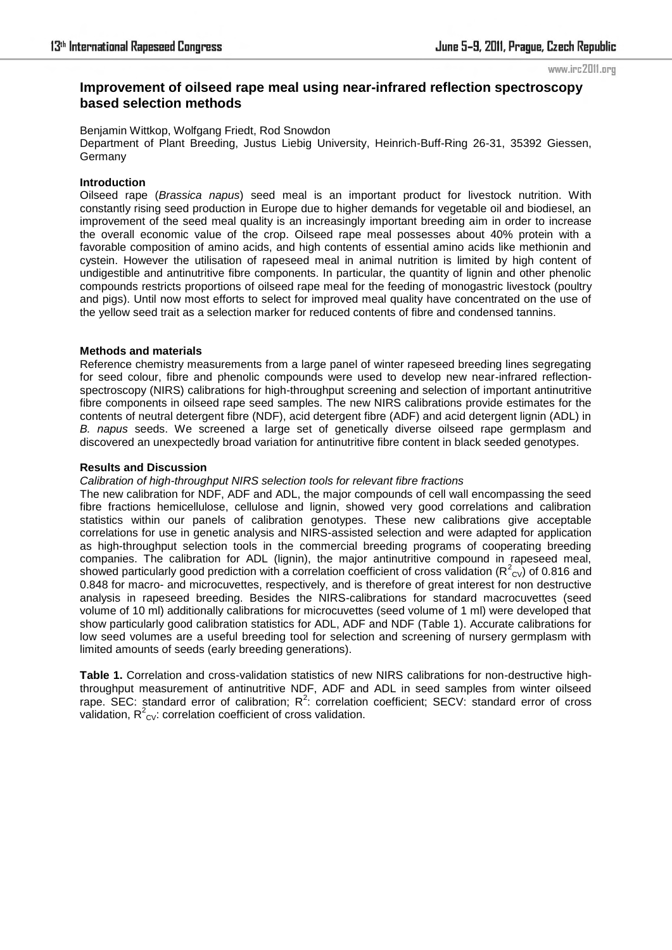#### www.irc2011.org

# **Improvement of oilseed rape meal using near-infrared reflection spectroscopy based selection methods**

Benjamin Wittkop, Wolfgang Friedt, Rod Snowdon Department of Plant Breeding, Justus Liebig University, Heinrich-Buff-Ring 26-31, 35392 Giessen, **Germany** 

#### **Introduction**

Oilseed rape (*Brassica napus*) seed meal is an important product for livestock nutrition. With constantly rising seed production in Europe due to higher demands for vegetable oil and biodiesel, an improvement of the seed meal quality is an increasingly important breeding aim in order to increase the overall economic value of the crop. Oilseed rape meal possesses about 40% protein with a favorable composition of amino acids, and high contents of essential amino acids like methionin and cystein. However the utilisation of rapeseed meal in animal nutrition is limited by high content of undigestible and antinutritive fibre components. In particular, the quantity of lignin and other phenolic compounds restricts proportions of oilseed rape meal for the feeding of monogastric livestock (poultry and pigs). Until now most efforts to select for improved meal quality have concentrated on the use of the yellow seed trait as a selection marker for reduced contents of fibre and condensed tannins.

#### **Methods and materials**

Reference chemistry measurements from a large panel of winter rapeseed breeding lines segregating for seed colour, fibre and phenolic compounds were used to develop new near-infrared reflectionspectroscopy (NIRS) calibrations for high-throughput screening and selection of important antinutritive fibre components in oilseed rape seed samples. The new NIRS calibrations provide estimates for the contents of neutral detergent fibre (NDF), acid detergent fibre (ADF) and acid detergent lignin (ADL) in *B. napus* seeds. We screened a large set of genetically diverse oilseed rape germplasm and discovered an unexpectedly broad variation for antinutritive fibre content in black seeded genotypes.

#### **Results and Discussion**

#### *Calibration of high-throughput NIRS selection tools for relevant fibre fractions*

The new calibration for NDF, ADF and ADL, the major compounds of cell wall encompassing the seed fibre fractions hemicellulose, cellulose and lignin, showed very good correlations and calibration statistics within our panels of calibration genotypes. These new calibrations give acceptable correlations for use in genetic analysis and NIRS-assisted selection and were adapted for application as high-throughput selection tools in the commercial breeding programs of cooperating breeding companies. The calibration for ADL (lignin), the major antinutritive compound in rapeseed meal, showed particularly good prediction with a correlation coefficient of cross validation ( $R^2_{\text{CV}}$ ) of 0.816 and 0.848 for macro- and microcuvettes, respectively, and is therefore of great interest for non destructive analysis in rapeseed breeding. Besides the NIRS-calibrations for standard macrocuvettes (seed volume of 10 ml) additionally calibrations for microcuvettes (seed volume of 1 ml) were developed that show particularly good calibration statistics for ADL, ADF and NDF (Table 1). Accurate calibrations for low seed volumes are a useful breeding tool for selection and screening of nursery germplasm with limited amounts of seeds (early breeding generations).

**Table 1.** Correlation and cross-validation statistics of new NIRS calibrations for non-destructive highthroughput measurement of antinutritive NDF, ADF and ADL in seed samples from winter oilseed rape. SEC: standard error of calibration;  $R^2$ : correlation coefficient; SECV: standard error of cross validation,  $R^2$ <sub>cv</sub>: correlation coefficient of cross validation.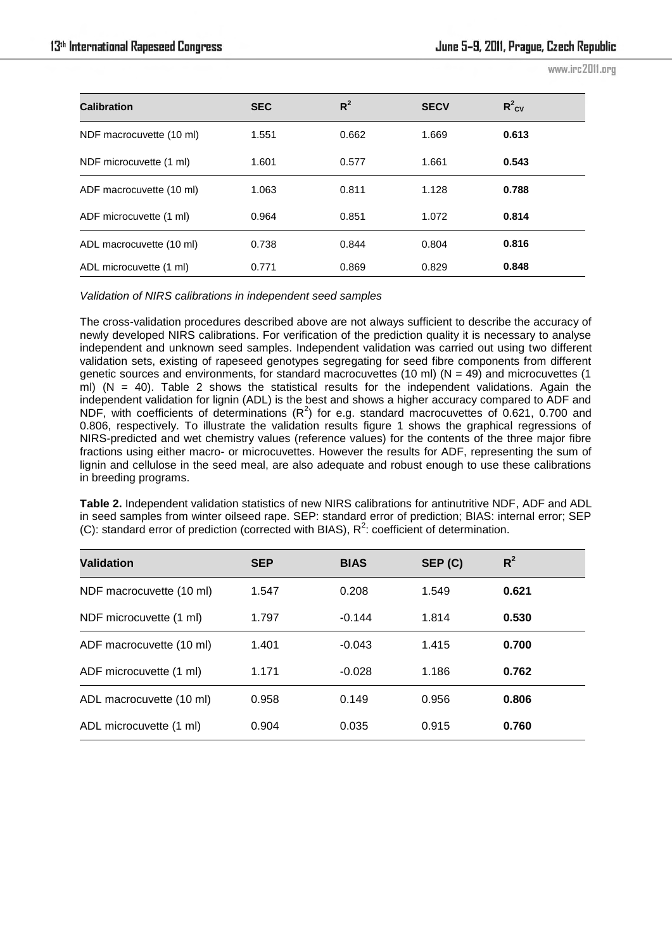www.irc2011.org

| <b>Calibration</b>       | <b>SEC</b> | $R^2$ | <b>SECV</b> | $R^2$ <sub>CV</sub> |
|--------------------------|------------|-------|-------------|---------------------|
| NDF macrocuvette (10 ml) | 1.551      | 0.662 | 1.669       | 0.613               |
| NDF microcuvette (1 ml)  | 1.601      | 0.577 | 1.661       | 0.543               |
| ADF macrocuvette (10 ml) | 1.063      | 0.811 | 1.128       | 0.788               |
| ADF microcuvette (1 ml)  | 0.964      | 0.851 | 1.072       | 0.814               |
| ADL macrocuvette (10 ml) | 0.738      | 0.844 | 0.804       | 0.816               |
| ADL microcuvette (1 ml)  | 0.771      | 0.869 | 0.829       | 0.848               |

*Validation of NIRS calibrations in independent seed samples* 

The cross-validation procedures described above are not always sufficient to describe the accuracy of newly developed NIRS calibrations. For verification of the prediction quality it is necessary to analyse independent and unknown seed samples. Independent validation was carried out using two different validation sets, existing of rapeseed genotypes segregating for seed fibre components from different genetic sources and environments, for standard macrocuvettes (10 ml) ( $N = 49$ ) and microcuvettes (1 ml) ( $N = 40$ ). Table 2 shows the statistical results for the independent validations. Again the independent validation for lignin (ADL) is the best and shows a higher accuracy compared to ADF and NDF, with coefficients of determinations ( $R^2$ ) for e.g. standard macrocuvettes of 0.621, 0.700 and 0.806, respectively. To illustrate the validation results figure 1 shows the graphical regressions of NIRS-predicted and wet chemistry values (reference values) for the contents of the three major fibre fractions using either macro- or microcuvettes. However the results for ADF, representing the sum of lignin and cellulose in the seed meal, are also adequate and robust enough to use these calibrations in breeding programs.

**Table 2.** Independent validation statistics of new NIRS calibrations for antinutritive NDF, ADF and ADL in seed samples from winter oilseed rape. SEP: standard error of prediction; BIAS: internal error; SEP (C): standard error of prediction (corrected with BIAS),  $R^2$ : coefficient of determination.

| <b>Validation</b>        | <b>SEP</b> | <b>BIAS</b> | SEP (C) | $R^2$ |
|--------------------------|------------|-------------|---------|-------|
| NDF macrocuvette (10 ml) | 1.547      | 0.208       | 1.549   | 0.621 |
| NDF microcuvette (1 ml)  | 1.797      | $-0.144$    | 1.814   | 0.530 |
| ADF macrocuvette (10 ml) | 1.401      | $-0.043$    | 1.415   | 0.700 |
| ADF microcuvette (1 ml)  | 1.171      | $-0.028$    | 1.186   | 0.762 |
| ADL macrocuvette (10 ml) | 0.958      | 0.149       | 0.956   | 0.806 |
| ADL microcuvette (1 ml)  | 0.904      | 0.035       | 0.915   | 0.760 |